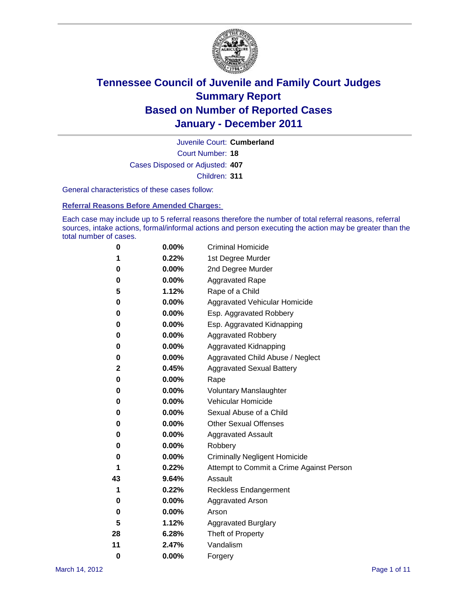

Court Number: **18** Juvenile Court: **Cumberland** Cases Disposed or Adjusted: **407** Children: **311**

General characteristics of these cases follow:

**Referral Reasons Before Amended Charges:** 

Each case may include up to 5 referral reasons therefore the number of total referral reasons, referral sources, intake actions, formal/informal actions and person executing the action may be greater than the total number of cases.

| 0  | 0.00%    | <b>Criminal Homicide</b>                 |  |  |
|----|----------|------------------------------------------|--|--|
| 1  | 0.22%    | 1st Degree Murder                        |  |  |
| 0  | 0.00%    | 2nd Degree Murder                        |  |  |
| 0  | 0.00%    | <b>Aggravated Rape</b>                   |  |  |
| 5  | 1.12%    | Rape of a Child                          |  |  |
| 0  | 0.00%    | Aggravated Vehicular Homicide            |  |  |
| 0  | 0.00%    | Esp. Aggravated Robbery                  |  |  |
| 0  | 0.00%    | Esp. Aggravated Kidnapping               |  |  |
| 0  | 0.00%    | <b>Aggravated Robbery</b>                |  |  |
| 0  | 0.00%    | Aggravated Kidnapping                    |  |  |
| 0  | 0.00%    | Aggravated Child Abuse / Neglect         |  |  |
| 2  | 0.45%    | <b>Aggravated Sexual Battery</b>         |  |  |
| 0  | 0.00%    | Rape                                     |  |  |
| 0  | $0.00\%$ | <b>Voluntary Manslaughter</b>            |  |  |
| 0  | 0.00%    | Vehicular Homicide                       |  |  |
| 0  | 0.00%    | Sexual Abuse of a Child                  |  |  |
| 0  | 0.00%    | <b>Other Sexual Offenses</b>             |  |  |
| 0  | 0.00%    | <b>Aggravated Assault</b>                |  |  |
| 0  | $0.00\%$ | Robbery                                  |  |  |
| 0  | 0.00%    | <b>Criminally Negligent Homicide</b>     |  |  |
| 1  | 0.22%    | Attempt to Commit a Crime Against Person |  |  |
| 43 | 9.64%    | Assault                                  |  |  |
| 1  | 0.22%    | <b>Reckless Endangerment</b>             |  |  |
| 0  | 0.00%    | <b>Aggravated Arson</b>                  |  |  |
| 0  | 0.00%    | Arson                                    |  |  |
| 5  | 1.12%    | <b>Aggravated Burglary</b>               |  |  |
| 28 | 6.28%    | Theft of Property                        |  |  |
| 11 | 2.47%    | Vandalism                                |  |  |
| 0  | 0.00%    | Forgery                                  |  |  |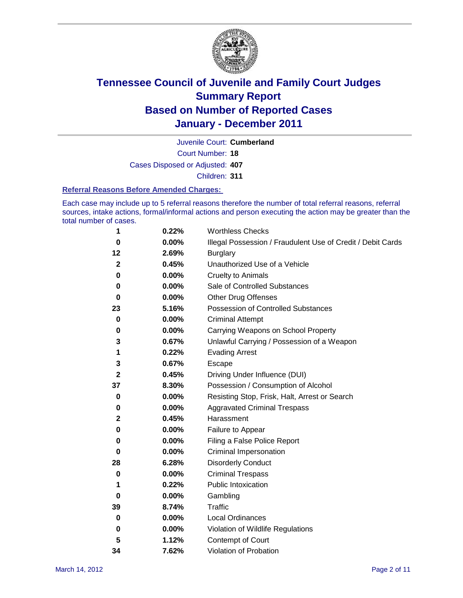

Court Number: **18** Juvenile Court: **Cumberland** Cases Disposed or Adjusted: **407** Children: **311**

#### **Referral Reasons Before Amended Charges:**

Each case may include up to 5 referral reasons therefore the number of total referral reasons, referral sources, intake actions, formal/informal actions and person executing the action may be greater than the total number of cases.

| 1            | 0.22% | <b>Worthless Checks</b>                                     |
|--------------|-------|-------------------------------------------------------------|
| 0            | 0.00% | Illegal Possession / Fraudulent Use of Credit / Debit Cards |
| 12           | 2.69% | <b>Burglary</b>                                             |
| $\mathbf{2}$ | 0.45% | Unauthorized Use of a Vehicle                               |
| 0            | 0.00% | <b>Cruelty to Animals</b>                                   |
| 0            | 0.00% | Sale of Controlled Substances                               |
| 0            | 0.00% | <b>Other Drug Offenses</b>                                  |
| 23           | 5.16% | <b>Possession of Controlled Substances</b>                  |
| 0            | 0.00% | <b>Criminal Attempt</b>                                     |
| 0            | 0.00% | Carrying Weapons on School Property                         |
| 3            | 0.67% | Unlawful Carrying / Possession of a Weapon                  |
| 1            | 0.22% | <b>Evading Arrest</b>                                       |
| 3            | 0.67% | Escape                                                      |
| 2            | 0.45% | Driving Under Influence (DUI)                               |
| 37           | 8.30% | Possession / Consumption of Alcohol                         |
| 0            | 0.00% | Resisting Stop, Frisk, Halt, Arrest or Search               |
| 0            | 0.00% | <b>Aggravated Criminal Trespass</b>                         |
| 2            | 0.45% | Harassment                                                  |
| 0            | 0.00% | Failure to Appear                                           |
| 0            | 0.00% | Filing a False Police Report                                |
| 0            | 0.00% | Criminal Impersonation                                      |
| 28           | 6.28% | <b>Disorderly Conduct</b>                                   |
| 0            | 0.00% | <b>Criminal Trespass</b>                                    |
| 1            | 0.22% | <b>Public Intoxication</b>                                  |
| 0            | 0.00% | Gambling                                                    |
| 39           | 8.74% | <b>Traffic</b>                                              |
| 0            | 0.00% | <b>Local Ordinances</b>                                     |
| 0            | 0.00% | Violation of Wildlife Regulations                           |
| 5            | 1.12% | Contempt of Court                                           |
| 34           | 7.62% | Violation of Probation                                      |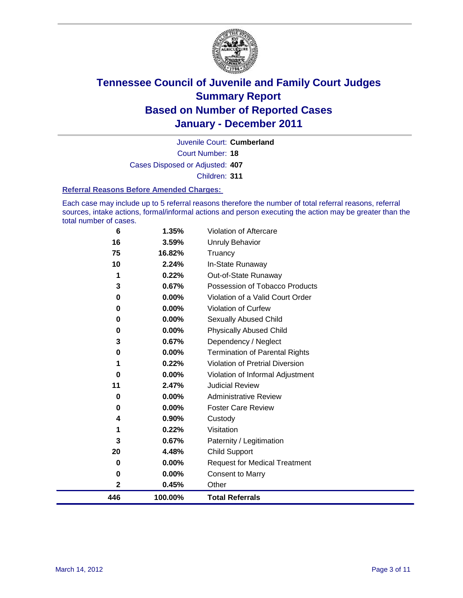

Court Number: **18** Juvenile Court: **Cumberland** Cases Disposed or Adjusted: **407** Children: **311**

#### **Referral Reasons Before Amended Charges:**

Each case may include up to 5 referral reasons therefore the number of total referral reasons, referral sources, intake actions, formal/informal actions and person executing the action may be greater than the total number of cases.

| 446 | 100.00%  | <b>Total Referrals</b>                 |
|-----|----------|----------------------------------------|
| 2   | 0.45%    | Other                                  |
| 0   | 0.00%    | <b>Consent to Marry</b>                |
| 0   | $0.00\%$ | <b>Request for Medical Treatment</b>   |
| 20  | 4.48%    | <b>Child Support</b>                   |
| 3   | 0.67%    | Paternity / Legitimation               |
| 1   | 0.22%    | Visitation                             |
| 4   | 0.90%    | Custody                                |
| 0   | 0.00%    | <b>Foster Care Review</b>              |
| 0   | $0.00\%$ | <b>Administrative Review</b>           |
| 11  | 2.47%    | <b>Judicial Review</b>                 |
| 0   | 0.00%    | Violation of Informal Adjustment       |
| 1   | 0.22%    | <b>Violation of Pretrial Diversion</b> |
| 0   | $0.00\%$ | <b>Termination of Parental Rights</b>  |
| 3   | 0.67%    | Dependency / Neglect                   |
| 0   | 0.00%    | <b>Physically Abused Child</b>         |
| 0   | 0.00%    | <b>Sexually Abused Child</b>           |
| 0   | $0.00\%$ | <b>Violation of Curfew</b>             |
| 0   | 0.00%    | Violation of a Valid Court Order       |
| 3   | 0.67%    | Possession of Tobacco Products         |
| 1   | 0.22%    | Out-of-State Runaway                   |
| 10  | 2.24%    | In-State Runaway                       |
| 75  | 16.82%   | Truancy                                |
| 16  | 3.59%    | <b>Unruly Behavior</b>                 |
| 6   | 1.35%    | Violation of Aftercare                 |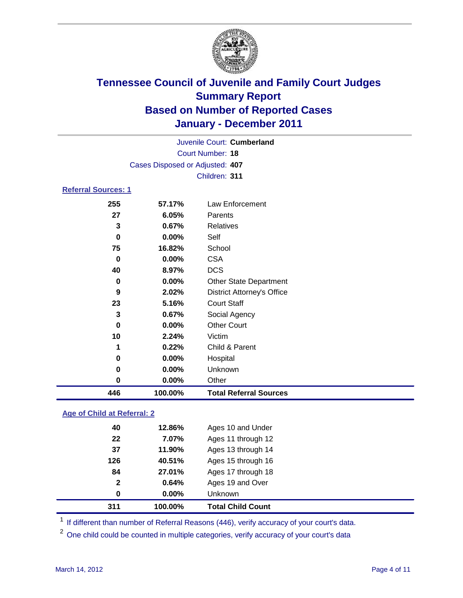

|                            | Juvenile Court: Cumberland      |                                   |  |  |  |  |  |
|----------------------------|---------------------------------|-----------------------------------|--|--|--|--|--|
|                            | Court Number: 18                |                                   |  |  |  |  |  |
|                            | Cases Disposed or Adjusted: 407 |                                   |  |  |  |  |  |
|                            | Children: 311                   |                                   |  |  |  |  |  |
| <b>Referral Sources: 1</b> |                                 |                                   |  |  |  |  |  |
| 255                        | 57.17%                          | Law Enforcement                   |  |  |  |  |  |
| 27                         | 6.05%                           | Parents                           |  |  |  |  |  |
| 3                          | 0.67%                           | <b>Relatives</b>                  |  |  |  |  |  |
| 0                          | $0.00\%$                        | Self                              |  |  |  |  |  |
| 75                         | 16.82%                          | School                            |  |  |  |  |  |
| 0                          | $0.00\%$                        | <b>CSA</b>                        |  |  |  |  |  |
| 40                         | 8.97%                           | <b>DCS</b>                        |  |  |  |  |  |
| 0                          | $0.00\%$                        | <b>Other State Department</b>     |  |  |  |  |  |
| 9                          | 2.02%                           | <b>District Attorney's Office</b> |  |  |  |  |  |
| 23                         | 5.16%                           | <b>Court Staff</b>                |  |  |  |  |  |
| 3                          | 0.67%                           | Social Agency                     |  |  |  |  |  |
| 0                          | $0.00\%$                        | <b>Other Court</b>                |  |  |  |  |  |
| 10                         | 2.24%                           | Victim                            |  |  |  |  |  |
|                            |                                 |                                   |  |  |  |  |  |

 **0.22%** Child & Parent **0.00%** Hospital **0.00%** Unknown **0.00%** Other **100.00% Total Referral Sources**

### **Age of Child at Referral: 2**

| 311          | 100.00%  | <b>Total Child Count</b> |
|--------------|----------|--------------------------|
| 0            | $0.00\%$ | Unknown                  |
| $\mathbf{2}$ | 0.64%    | Ages 19 and Over         |
| 84           | 27.01%   | Ages 17 through 18       |
| 126          | 40.51%   | Ages 15 through 16       |
| 37           | 11.90%   | Ages 13 through 14       |
| 22           | 7.07%    | Ages 11 through 12       |
| 40           | 12.86%   | Ages 10 and Under        |
|              |          |                          |

<sup>1</sup> If different than number of Referral Reasons (446), verify accuracy of your court's data.

<sup>2</sup> One child could be counted in multiple categories, verify accuracy of your court's data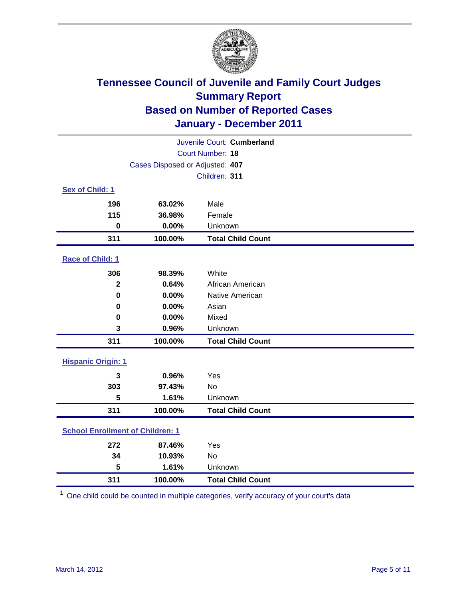

| Juvenile Court: Cumberland              |                                 |                          |  |  |  |
|-----------------------------------------|---------------------------------|--------------------------|--|--|--|
|                                         | <b>Court Number: 18</b>         |                          |  |  |  |
|                                         | Cases Disposed or Adjusted: 407 |                          |  |  |  |
|                                         |                                 | Children: 311            |  |  |  |
| Sex of Child: 1                         |                                 |                          |  |  |  |
| 196                                     | 63.02%                          | Male                     |  |  |  |
| 115                                     | 36.98%                          | Female                   |  |  |  |
| $\mathbf 0$                             | 0.00%                           | Unknown                  |  |  |  |
| 311                                     | 100.00%                         | <b>Total Child Count</b> |  |  |  |
| Race of Child: 1                        |                                 |                          |  |  |  |
| 306                                     | 98.39%                          | White                    |  |  |  |
| $\mathbf{2}$                            | 0.64%                           | African American         |  |  |  |
| $\mathbf 0$                             | 0.00%                           | Native American          |  |  |  |
| 0                                       | 0.00%                           | Asian                    |  |  |  |
| $\mathbf 0$                             | 0.00%                           | Mixed                    |  |  |  |
| 3                                       | 0.96%                           | Unknown                  |  |  |  |
| 311                                     | 100.00%                         | <b>Total Child Count</b> |  |  |  |
| <b>Hispanic Origin: 1</b>               |                                 |                          |  |  |  |
| 3                                       | 0.96%                           | Yes                      |  |  |  |
| 303                                     | 97.43%                          | No                       |  |  |  |
| 5                                       | 1.61%                           | Unknown                  |  |  |  |
| 311                                     | 100.00%                         | <b>Total Child Count</b> |  |  |  |
| <b>School Enrollment of Children: 1</b> |                                 |                          |  |  |  |
| 272                                     | 87.46%                          | Yes                      |  |  |  |
| 34                                      | 10.93%                          | No                       |  |  |  |
| 5                                       | 1.61%                           | Unknown                  |  |  |  |
| 311                                     | 100.00%                         | <b>Total Child Count</b> |  |  |  |

One child could be counted in multiple categories, verify accuracy of your court's data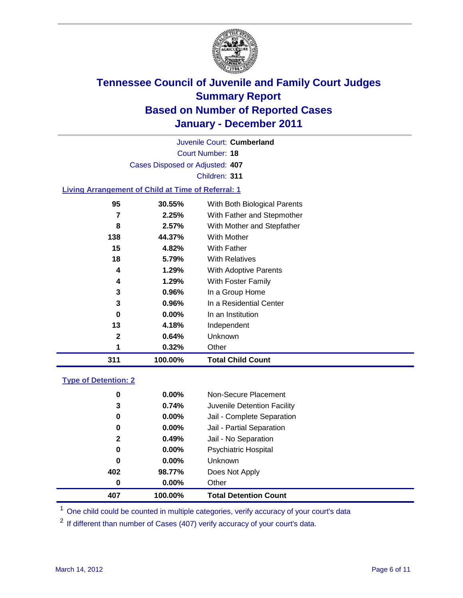

Court Number: **18** Juvenile Court: **Cumberland** Cases Disposed or Adjusted: **407** Children: **311 Living Arrangement of Child at Time of Referral: 1**

| 311 | 100.00%  | <b>Total Child Count</b>     |
|-----|----------|------------------------------|
| 1   | 0.32%    | Other                        |
| 2   | 0.64%    | Unknown                      |
| 13  | 4.18%    | Independent                  |
| 0   | $0.00\%$ | In an Institution            |
| 3   | 0.96%    | In a Residential Center      |
| 3   | 0.96%    | In a Group Home              |
| 4   | 1.29%    | With Foster Family           |
| 4   | 1.29%    | With Adoptive Parents        |
| 18  | 5.79%    | <b>With Relatives</b>        |
| 15  | 4.82%    | With Father                  |
| 138 | 44.37%   | With Mother                  |
| 8   | 2.57%    | With Mother and Stepfather   |
| 7   | 2.25%    | With Father and Stepmother   |
| 95  | 30.55%   | With Both Biological Parents |
|     |          |                              |

### **Type of Detention: 2**

| 407          | 100.00%  | <b>Total Detention Count</b> |  |
|--------------|----------|------------------------------|--|
| 0            | $0.00\%$ | Other                        |  |
| 402          | 98.77%   | Does Not Apply               |  |
| 0            | $0.00\%$ | <b>Unknown</b>               |  |
| 0            | $0.00\%$ | Psychiatric Hospital         |  |
| $\mathbf{2}$ | 0.49%    | Jail - No Separation         |  |
| 0            | $0.00\%$ | Jail - Partial Separation    |  |
| 0            | $0.00\%$ | Jail - Complete Separation   |  |
| 3            | 0.74%    | Juvenile Detention Facility  |  |
| 0            | $0.00\%$ | Non-Secure Placement         |  |
|              |          |                              |  |

<sup>1</sup> One child could be counted in multiple categories, verify accuracy of your court's data

<sup>2</sup> If different than number of Cases (407) verify accuracy of your court's data.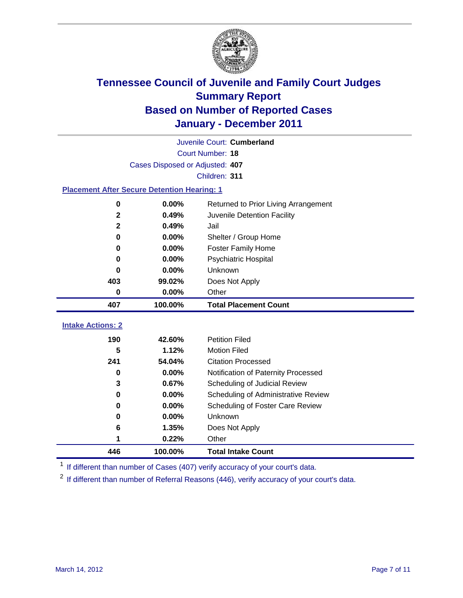

| Juvenile Court: Cumberland                         |                                 |                                      |  |  |  |
|----------------------------------------------------|---------------------------------|--------------------------------------|--|--|--|
|                                                    | Court Number: 18                |                                      |  |  |  |
|                                                    | Cases Disposed or Adjusted: 407 |                                      |  |  |  |
|                                                    | Children: 311                   |                                      |  |  |  |
| <b>Placement After Secure Detention Hearing: 1</b> |                                 |                                      |  |  |  |
| 0                                                  | 0.00%                           | Returned to Prior Living Arrangement |  |  |  |
| $\mathbf{2}$                                       | 0.49%                           | Juvenile Detention Facility          |  |  |  |
| $\overline{2}$                                     | 0.49%                           | Jail                                 |  |  |  |
| 0                                                  | 0.00%                           | Shelter / Group Home                 |  |  |  |
| $\bf{0}$                                           | 0.00%                           | <b>Foster Family Home</b>            |  |  |  |
| 0                                                  | 0.00%                           | <b>Psychiatric Hospital</b>          |  |  |  |
| 0                                                  | 0.00%                           | Unknown                              |  |  |  |
| 403                                                | 99.02%                          | Does Not Apply                       |  |  |  |
| 0                                                  | 0.00%                           | Other                                |  |  |  |
|                                                    |                                 |                                      |  |  |  |
| 407                                                | 100.00%                         | <b>Total Placement Count</b>         |  |  |  |
| <b>Intake Actions: 2</b>                           |                                 |                                      |  |  |  |
| 190                                                | 42.60%                          | <b>Petition Filed</b>                |  |  |  |
| 5                                                  | 1.12%                           | <b>Motion Filed</b>                  |  |  |  |
| 241                                                | 54.04%                          | <b>Citation Processed</b>            |  |  |  |
| $\bf{0}$                                           | 0.00%                           | Notification of Paternity Processed  |  |  |  |
| 3                                                  | 0.67%                           | Scheduling of Judicial Review        |  |  |  |
| $\bf{0}$                                           | 0.00%                           | Scheduling of Administrative Review  |  |  |  |
| 0                                                  | $0.00\%$                        | Scheduling of Foster Care Review     |  |  |  |
| $\bf{0}$                                           | 0.00%                           | Unknown                              |  |  |  |
| 6                                                  | 1.35%                           | Does Not Apply                       |  |  |  |
| 1                                                  | 0.22%                           | Other                                |  |  |  |

<sup>1</sup> If different than number of Cases (407) verify accuracy of your court's data.

<sup>2</sup> If different than number of Referral Reasons (446), verify accuracy of your court's data.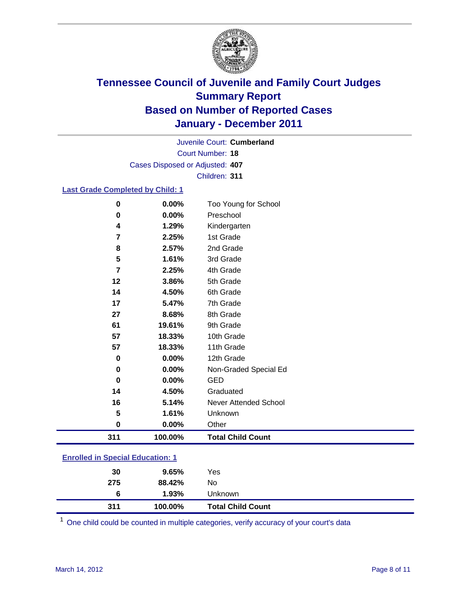

Court Number: **18** Juvenile Court: **Cumberland** Cases Disposed or Adjusted: **407** Children: **311**

### **Last Grade Completed by Child: 1**

| 311    | 100.00%        | <b>Total Child Count</b>          |  |
|--------|----------------|-----------------------------------|--|
| 0      | $0.00\%$       | Other                             |  |
| 5      | 1.61%          | Unknown                           |  |
| 16     | 5.14%          | <b>Never Attended School</b>      |  |
| 14     | 4.50%          | Graduated                         |  |
| 0      | 0.00%          | <b>GED</b>                        |  |
| 0      | 0.00%          | Non-Graded Special Ed             |  |
| 0      | 0.00%          | 12th Grade                        |  |
| 57     | 18.33%         | 11th Grade                        |  |
| 57     | 18.33%         | 10th Grade                        |  |
| 61     | 19.61%         | 9th Grade                         |  |
| 27     | 8.68%          | 8th Grade                         |  |
| 17     | 5.47%          | 7th Grade                         |  |
| 14     | 4.50%          | 6th Grade                         |  |
| 12     | 3.86%          | 5th Grade                         |  |
| 7      | 2.25%          | 4th Grade                         |  |
| 5      | 1.61%          | 3rd Grade                         |  |
| 8      | 2.57%          | 2nd Grade                         |  |
| 7      | 2.25%          | 1st Grade                         |  |
| 4      | 1.29%          | Kindergarten                      |  |
| 0<br>0 | 0.00%<br>0.00% | Too Young for School<br>Preschool |  |

### **Enrolled in Special Education: 1**

| 311 | 100.00% | <b>Total Child Count</b> |
|-----|---------|--------------------------|
| 6   | 1.93%   | <b>Unknown</b>           |
| 275 | 88.42%  | No                       |
| 30  | 9.65%   | Yes                      |
|     |         |                          |

One child could be counted in multiple categories, verify accuracy of your court's data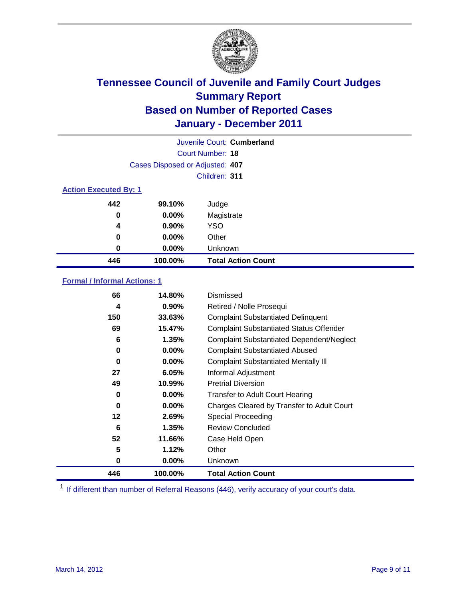

| Juvenile Court: Cumberland   |                                 |                           |  |  |  |
|------------------------------|---------------------------------|---------------------------|--|--|--|
|                              | Court Number: 18                |                           |  |  |  |
|                              | Cases Disposed or Adjusted: 407 |                           |  |  |  |
|                              | Children: 311                   |                           |  |  |  |
| <b>Action Executed By: 1</b> |                                 |                           |  |  |  |
| 442                          | 99.10%                          | Judge                     |  |  |  |
| 0                            | 0.00%                           | Magistrate                |  |  |  |
| 4                            | 0.90%                           | <b>YSO</b>                |  |  |  |
| 0                            | $0.00\%$                        | Other                     |  |  |  |
| 0                            | 0.00%                           | Unknown                   |  |  |  |
| 446                          | 100.00%                         | <b>Total Action Count</b> |  |  |  |

### **Formal / Informal Actions: 1**

| 66  | 14.80%   | Dismissed                                        |
|-----|----------|--------------------------------------------------|
| 4   | $0.90\%$ | Retired / Nolle Prosequi                         |
| 150 | 33.63%   | <b>Complaint Substantiated Delinquent</b>        |
| 69  | 15.47%   | <b>Complaint Substantiated Status Offender</b>   |
| 6   | 1.35%    | <b>Complaint Substantiated Dependent/Neglect</b> |
| 0   | $0.00\%$ | <b>Complaint Substantiated Abused</b>            |
| 0   | $0.00\%$ | <b>Complaint Substantiated Mentally III</b>      |
| 27  | 6.05%    | Informal Adjustment                              |
| 49  | 10.99%   | <b>Pretrial Diversion</b>                        |
| 0   | $0.00\%$ | <b>Transfer to Adult Court Hearing</b>           |
| 0   | $0.00\%$ | Charges Cleared by Transfer to Adult Court       |
| 12  | 2.69%    | Special Proceeding                               |
| 6   | 1.35%    | <b>Review Concluded</b>                          |
| 52  | 11.66%   | Case Held Open                                   |
| 5   | 1.12%    | Other                                            |
| 0   | $0.00\%$ | Unknown                                          |
| 446 | 100.00%  | <b>Total Action Count</b>                        |

<sup>1</sup> If different than number of Referral Reasons (446), verify accuracy of your court's data.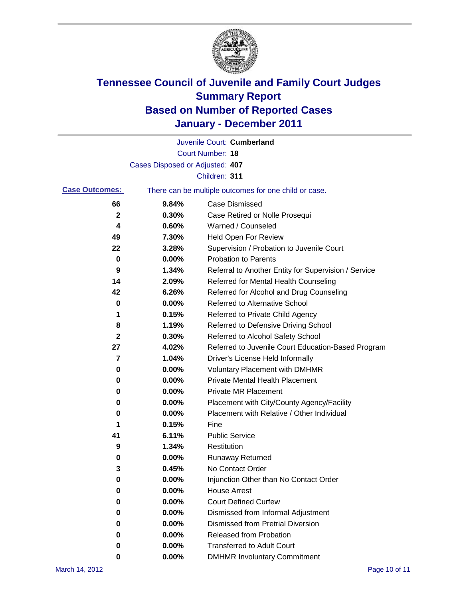

|                       |                                 | Juvenile Court: Cumberland                            |
|-----------------------|---------------------------------|-------------------------------------------------------|
|                       |                                 | <b>Court Number: 18</b>                               |
|                       | Cases Disposed or Adjusted: 407 |                                                       |
|                       |                                 | Children: 311                                         |
| <b>Case Outcomes:</b> |                                 | There can be multiple outcomes for one child or case. |
| 66                    | 9.84%                           | <b>Case Dismissed</b>                                 |
| 2                     | 0.30%                           | Case Retired or Nolle Prosequi                        |
| 4                     | 0.60%                           | Warned / Counseled                                    |
| 49                    | 7.30%                           | Held Open For Review                                  |
| 22                    | 3.28%                           | Supervision / Probation to Juvenile Court             |
| 0                     | 0.00%                           | <b>Probation to Parents</b>                           |
| 9                     | 1.34%                           | Referral to Another Entity for Supervision / Service  |
| 14                    | 2.09%                           | Referred for Mental Health Counseling                 |
| 42                    | 6.26%                           | Referred for Alcohol and Drug Counseling              |
| 0                     | 0.00%                           | Referred to Alternative School                        |
| 1                     | 0.15%                           | Referred to Private Child Agency                      |
| 8                     | 1.19%                           | Referred to Defensive Driving School                  |
| 2                     | 0.30%                           | Referred to Alcohol Safety School                     |
| 27                    | 4.02%                           | Referred to Juvenile Court Education-Based Program    |
| 7                     | 1.04%                           | Driver's License Held Informally                      |
| 0                     | 0.00%                           | <b>Voluntary Placement with DMHMR</b>                 |
| 0                     | 0.00%                           | <b>Private Mental Health Placement</b>                |
| 0                     | 0.00%                           | <b>Private MR Placement</b>                           |
| 0                     | 0.00%                           | Placement with City/County Agency/Facility            |
| 0                     | 0.00%                           | Placement with Relative / Other Individual            |
| 1                     | 0.15%                           | Fine                                                  |
| 41                    | 6.11%                           | <b>Public Service</b>                                 |
| 9                     | 1.34%                           | Restitution                                           |
| 0                     | 0.00%                           | <b>Runaway Returned</b>                               |
| 3                     | 0.45%                           | No Contact Order                                      |
| 0                     | 0.00%                           | Injunction Other than No Contact Order                |
| 0                     | 0.00%                           | <b>House Arrest</b>                                   |
| 0                     | 0.00%                           | <b>Court Defined Curfew</b>                           |
| 0                     | 0.00%                           | Dismissed from Informal Adjustment                    |
| 0                     | $0.00\%$                        | <b>Dismissed from Pretrial Diversion</b>              |
| 0                     | 0.00%                           | Released from Probation                               |
| 0                     | $0.00\%$                        | <b>Transferred to Adult Court</b>                     |
| 0                     | 0.00%                           | <b>DMHMR Involuntary Commitment</b>                   |